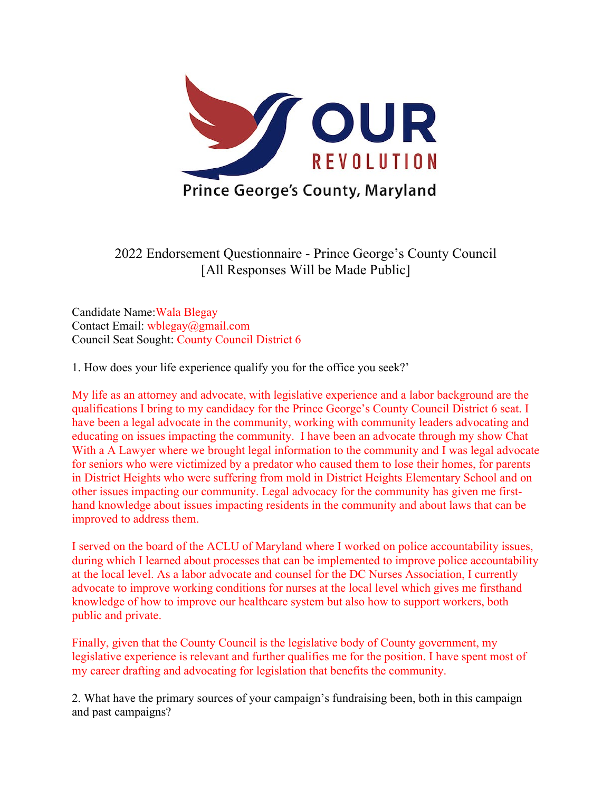

2022 Endorsement Questionnaire - Prince George's County Council [All Responses Will be Made Public]

Candidate Name:Wala Blegay Contact Email: wblegay@gmail.com Council Seat Sought: County Council District 6

1. How does your life experience qualify you for the office you seek?'

My life as an attorney and advocate, with legislative experience and a labor background are the qualifications I bring to my candidacy for the Prince George's County Council District 6 seat. I have been a legal advocate in the community, working with community leaders advocating and educating on issues impacting the community. I have been an advocate through my show Chat With a A Lawyer where we brought legal information to the community and I was legal advocate for seniors who were victimized by a predator who caused them to lose their homes, for parents in District Heights who were suffering from mold in District Heights Elementary School and on other issues impacting our community. Legal advocacy for the community has given me firsthand knowledge about issues impacting residents in the community and about laws that can be improved to address them.

I served on the board of the ACLU of Maryland where I worked on police accountability issues, during which I learned about processes that can be implemented to improve police accountability at the local level. As a labor advocate and counsel for the DC Nurses Association, I currently advocate to improve working conditions for nurses at the local level which gives me firsthand knowledge of how to improve our healthcare system but also how to support workers, both public and private.

Finally, given that the County Council is the legislative body of County government, my legislative experience is relevant and further qualifies me for the position. I have spent most of my career drafting and advocating for legislation that benefits the community.

2. What have the primary sources of your campaign's fundraising been, both in this campaign and past campaigns?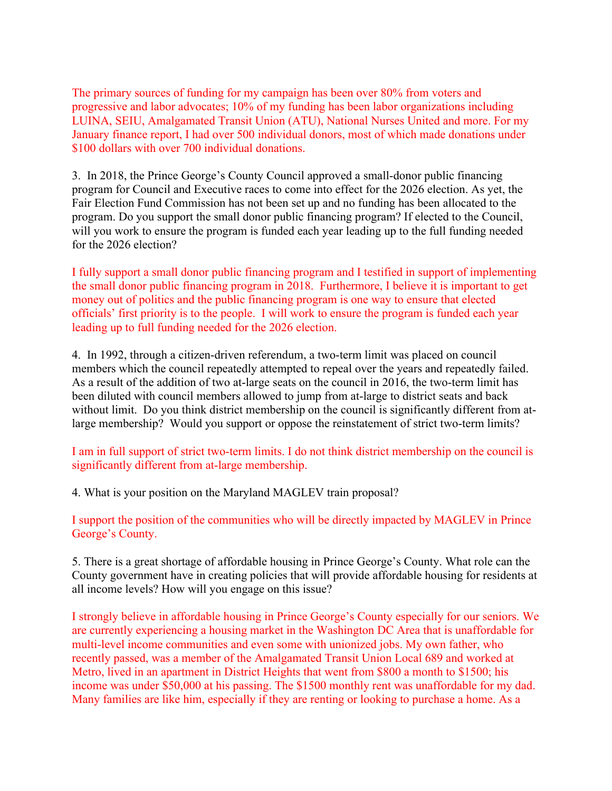The primary sources of funding for my campaign has been over 80% from voters and progressive and labor advocates; 10% of my funding has been labor organizations including LUINA, SEIU, Amalgamated Transit Union (ATU), National Nurses United and more. For my January finance report, I had over 500 individual donors, most of which made donations under \$100 dollars with over 700 individual donations.

3. In 2018, the Prince George's County Council approved a small-donor public financing program for Council and Executive races to come into effect for the 2026 election. As yet, the Fair Election Fund Commission has not been set up and no funding has been allocated to the program. Do you support the small donor public financing program? If elected to the Council, will you work to ensure the program is funded each year leading up to the full funding needed for the 2026 election?

I fully support a small donor public financing program and I testified in support of implementing the small donor public financing program in 2018. Furthermore, I believe it is important to get money out of politics and the public financing program is one way to ensure that elected officials' first priority is to the people. I will work to ensure the program is funded each year leading up to full funding needed for the 2026 election.

4. In 1992, through a citizen-driven referendum, a two-term limit was placed on council members which the council repeatedly attempted to repeal over the years and repeatedly failed. As a result of the addition of two at-large seats on the council in 2016, the two-term limit has been diluted with council members allowed to jump from at-large to district seats and back without limit. Do you think district membership on the council is significantly different from atlarge membership? Would you support or oppose the reinstatement of strict two-term limits?

I am in full support of strict two-term limits. I do not think district membership on the council is significantly different from at-large membership.

4. What is your position on the Maryland MAGLEV train proposal?

I support the position of the communities who will be directly impacted by MAGLEV in Prince George's County.

5. There is a great shortage of affordable housing in Prince George's County. What role can the County government have in creating policies that will provide affordable housing for residents at all income levels? How will you engage on this issue?

I strongly believe in affordable housing in Prince George's County especially for our seniors. We are currently experiencing a housing market in the Washington DC Area that is unaffordable for multi-level income communities and even some with unionized jobs. My own father, who recently passed, was a member of the Amalgamated Transit Union Local 689 and worked at Metro, lived in an apartment in District Heights that went from \$800 a month to \$1500; his income was under \$50,000 at his passing. The \$1500 monthly rent was unaffordable for my dad. Many families are like him, especially if they are renting or looking to purchase a home. As a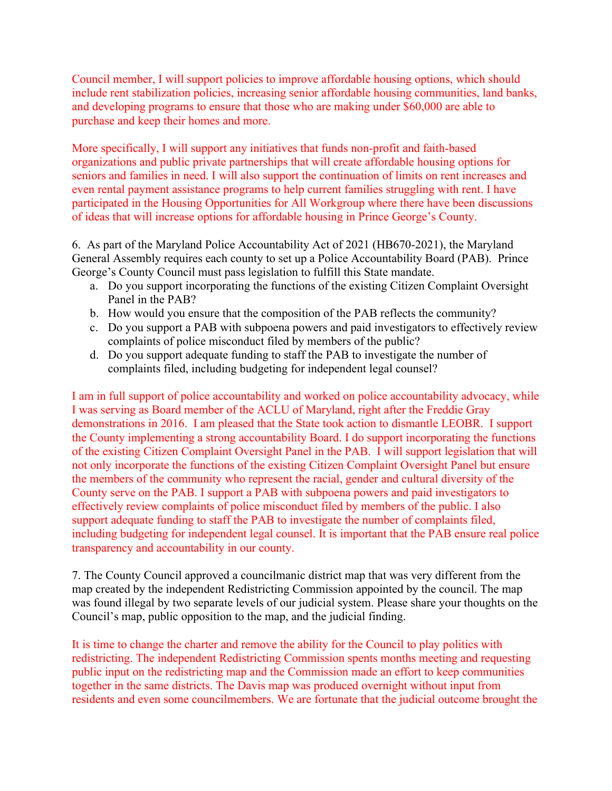Council member, I will support policies to improve affordable housing options, which should include rent stabilization policies, increasing senior affordable housing communities, land banks, and developing programs to ensure that those who are making under \$60,000 are able to purchase and keep their homes and more.

More specifically, I will support any initiatives that funds non-profit and faith-based organizations and public private partnerships that will create affordable housing options for seniors and families in need. I will also support the continuation of limits on rent increases and even rental payment assistance programs to help current families struggling with rent. I have participated in the Housing Opportunities for All Workgroup where there have been discussions of ideas that will increase options for affordable housing in Prince George's County.

6. As part of the Maryland Police Accountability Act of 2021 (HB670-2021), the Maryland General Assembly requires each county to set up a Police Accountability Board (PAB). Prince George's County Council must pass legislation to fulfill this State mandate.

- a. Do you support incorporating the functions of the existing Citizen Complaint Oversight Panel in the PAB?
- b. How would you ensure that the composition of the PAB reflects the community?
- c. Do you support a PAB with subpoena powers and paid investigators to effectively review complaints of police misconduct filed by members of the public?
- d. Do you support adequate funding to staff the PAB to investigate the number of complaints filed, including budgeting for independent legal counsel?

I am in full support of police accountability and worked on police accountability advocacy, while I was serving as Board member of the ACLU of Maryland, right after the Freddie Gray demonstrations in 2016. I am pleased that the State took action to dismantle LEOBR. I support the County implementing a strong accountability Board. I do support incorporating the functions of the existing Citizen Complaint Oversight Panel in the PAB. I will support legislation that will not only incorporate the functions of the existing Citizen Complaint Oversight Panel but ensure the members of the community who represent the racial, gender and cultural diversity of the County serve on the PAB. I support a PAB with subpoena powers and paid investigators to effectively review complaints of police misconduct filed by members of the public. I also support adequate funding to staff the PAB to investigate the number of complaints filed, including budgeting for independent legal counsel. It is important that the PAB ensure real police transparency and accountability in our county.

7. The County Council approved a councilmanic district map that was very different from the map created by the independent Redistricting Commission appointed by the council. The map was found illegal by two separate levels of our judicial system. Please share your thoughts on the Council's map, public opposition to the map, and the judicial finding.

It is time to change the charter and remove the ability for the Council to play politics with redistricting. The independent Redistricting Commission spents months meeting and requesting public input on the redistricting map and the Commission made an effort to keep communities together in the same districts. The Davis map was produced overnight without input from residents and even some councilmembers. We are fortunate that the judicial outcome brought the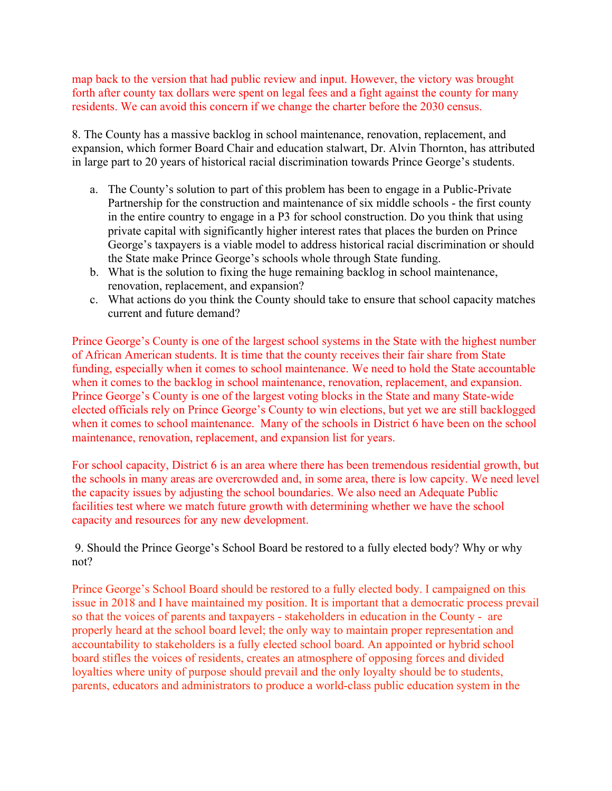map back to the version that had public review and input. However, the victory was brought forth after county tax dollars were spent on legal fees and a fight against the county for many residents. We can avoid this concern if we change the charter before the 2030 census.

8. The County has a massive backlog in school maintenance, renovation, replacement, and expansion, which former Board Chair and education stalwart, Dr. Alvin Thornton, has attributed in large part to 20 years of historical racial discrimination towards Prince George's students.

- a. The County's solution to part of this problem has been to engage in a Public-Private Partnership for the construction and maintenance of six middle schools - the first county in the entire country to engage in a P3 for school construction. Do you think that using private capital with significantly higher interest rates that places the burden on Prince George's taxpayers is a viable model to address historical racial discrimination or should the State make Prince George's schools whole through State funding.
- b. What is the solution to fixing the huge remaining backlog in school maintenance, renovation, replacement, and expansion?
- c. What actions do you think the County should take to ensure that school capacity matches current and future demand?

Prince George's County is one of the largest school systems in the State with the highest number of African American students. It is time that the county receives their fair share from State funding, especially when it comes to school maintenance. We need to hold the State accountable when it comes to the backlog in school maintenance, renovation, replacement, and expansion. Prince George's County is one of the largest voting blocks in the State and many State-wide elected officials rely on Prince George's County to win elections, but yet we are still backlogged when it comes to school maintenance. Many of the schools in District 6 have been on the school maintenance, renovation, replacement, and expansion list for years.

For school capacity, District 6 is an area where there has been tremendous residential growth, but the schools in many areas are overcrowded and, in some area, there is low capcity. We need level the capacity issues by adjusting the school boundaries. We also need an Adequate Public facilities test where we match future growth with determining whether we have the school capacity and resources for any new development.

 9. Should the Prince George's School Board be restored to a fully elected body? Why or why not?

Prince George's School Board should be restored to a fully elected body. I campaigned on this issue in 2018 and I have maintained my position. It is important that a democratic process prevail so that the voices of parents and taxpayers - stakeholders in education in the County - are properly heard at the school board level; the only way to maintain proper representation and accountability to stakeholders is a fully elected school board. An appointed or hybrid school board stifles the voices of residents, creates an atmosphere of opposing forces and divided loyalties where unity of purpose should prevail and the only loyalty should be to students, parents, educators and administrators to produce a world-class public education system in the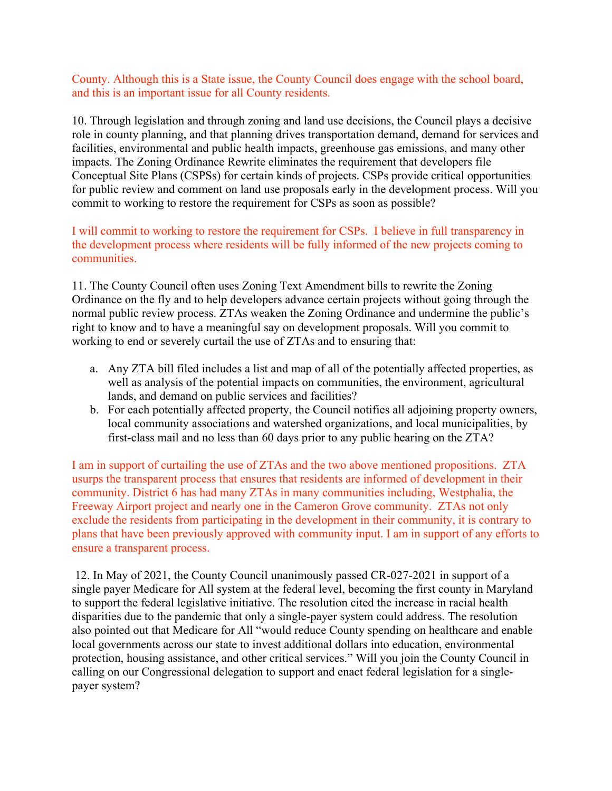County. Although this is a State issue, the County Council does engage with the school board, and this is an important issue for all County residents.

10. Through legislation and through zoning and land use decisions, the Council plays a decisive role in county planning, and that planning drives transportation demand, demand for services and facilities, environmental and public health impacts, greenhouse gas emissions, and many other impacts. The Zoning Ordinance Rewrite eliminates the requirement that developers file Conceptual Site Plans (CSPSs) for certain kinds of projects. CSPs provide critical opportunities for public review and comment on land use proposals early in the development process. Will you commit to working to restore the requirement for CSPs as soon as possible?

I will commit to working to restore the requirement for CSPs. I believe in full transparency in the development process where residents will be fully informed of the new projects coming to communities.

11. The County Council often uses Zoning Text Amendment bills to rewrite the Zoning Ordinance on the fly and to help developers advance certain projects without going through the normal public review process. ZTAs weaken the Zoning Ordinance and undermine the public's right to know and to have a meaningful say on development proposals. Will you commit to working to end or severely curtail the use of ZTAs and to ensuring that:

- a. Any ZTA bill filed includes a list and map of all of the potentially affected properties, as well as analysis of the potential impacts on communities, the environment, agricultural lands, and demand on public services and facilities?
- b. For each potentially affected property, the Council notifies all adjoining property owners, local community associations and watershed organizations, and local municipalities, by first-class mail and no less than 60 days prior to any public hearing on the ZTA?

I am in support of curtailing the use of ZTAs and the two above mentioned propositions. ZTA usurps the transparent process that ensures that residents are informed of development in their community. District 6 has had many ZTAs in many communities including, Westphalia, the Freeway Airport project and nearly one in the Cameron Grove community. ZTAs not only exclude the residents from participating in the development in their community, it is contrary to plans that have been previously approved with community input. I am in support of any efforts to ensure a transparent process.

 12. In May of 2021, the County Council unanimously passed CR-027-2021 in support of a single payer Medicare for All system at the federal level, becoming the first county in Maryland to support the federal legislative initiative. The resolution cited the increase in racial health disparities due to the pandemic that only a single-payer system could address. The resolution also pointed out that Medicare for All "would reduce County spending on healthcare and enable local governments across our state to invest additional dollars into education, environmental protection, housing assistance, and other critical services." Will you join the County Council in calling on our Congressional delegation to support and enact federal legislation for a singlepayer system?